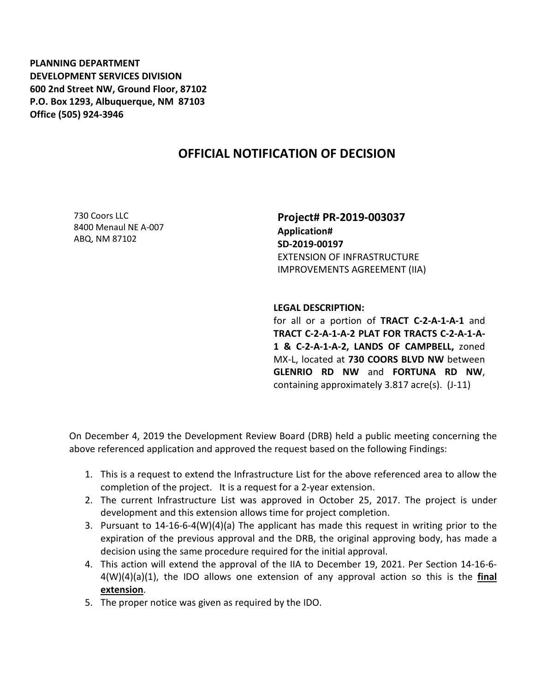**PLANNING DEPARTMENT DEVELOPMENT SERVICES DIVISION 600 2nd Street NW, Ground Floor, 87102 P.O. Box 1293, Albuquerque, NM 87103 Office (505) 924-3946** 

## **OFFICIAL NOTIFICATION OF DECISION**

730 Coors LLC 8400 Menaul NE A-007 ABQ, NM 87102

**Project# PR-2019-003037 Application# SD-2019-00197** EXTENSION OF INFRASTRUCTURE IMPROVEMENTS AGREEMENT (IIA)

**LEGAL DESCRIPTION:**

for all or a portion of **TRACT C-2-A-1-A-1** and **TRACT C-2-A-1-A-2 PLAT FOR TRACTS C-2-A-1-A-1 & C-2-A-1-A-2, LANDS OF CAMPBELL,** zoned MX-L, located at **730 COORS BLVD NW** between **GLENRIO RD NW** and **FORTUNA RD NW**, containing approximately 3.817 acre(s). (J-11)

On December 4, 2019 the Development Review Board (DRB) held a public meeting concerning the above referenced application and approved the request based on the following Findings:

- 1. This is a request to extend the Infrastructure List for the above referenced area to allow the completion of the project. It is a request for a 2-year extension.
- 2. The current Infrastructure List was approved in October 25, 2017. The project is under development and this extension allows time for project completion.
- 3. Pursuant to 14-16-6-4(W)(4)(a) The applicant has made this request in writing prior to the expiration of the previous approval and the DRB, the original approving body, has made a decision using the same procedure required for the initial approval.
- 4. This action will extend the approval of the IIA to December 19, 2021. Per Section 14-16-6- 4(W)(4)(a)(1), the IDO allows one extension of any approval action so this is the **final extension**.
- 5. The proper notice was given as required by the IDO.